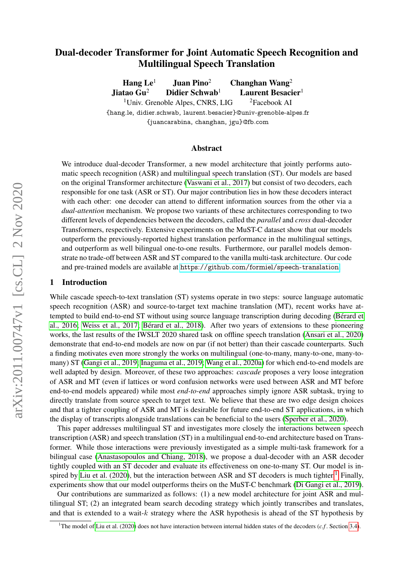# <span id="page-0-1"></span>Dual-decoder Transformer for Joint Automatic Speech Recognition and Multilingual Speech Translation

Hang  $Le<sup>1</sup>$  Juan Pino<sup>2</sup> Changhan Wang<sup>2</sup> Jiatao Gu<sup>2</sup> Didier Schwab<sup>1</sup> Laurent Besacier<sup>1</sup> <sup>1</sup>Univ. Grenoble Alpes, CNRS, LIG  $\frac{2F}{2}$  <sup>2</sup>Facebook AI {hang.le, didier.schwab, laurent.besacier}@univ-grenoble-alpes.fr {juancarabina, changhan, jgu}@fb.com

#### Abstract

We introduce dual-decoder Transformer, a new model architecture that jointly performs automatic speech recognition (ASR) and multilingual speech translation (ST). Our models are based on the original Transformer architecture [\(Vaswani et al., 2017\)](#page-11-0) but consist of two decoders, each responsible for one task (ASR or ST). Our major contribution lies in how these decoders interact with each other: one decoder can attend to different information sources from the other via a *dual-attention* mechanism. We propose two variants of these architectures corresponding to two different levels of dependencies between the decoders, called the *parallel* and *cross* dual-decoder Transformers, respectively. Extensive experiments on the MuST-C dataset show that our models outperform the previously-reported highest translation performance in the multilingual settings, and outperform as well bilingual one-to-one results. Furthermore, our parallel models demonstrate no trade-off between ASR and ST compared to the vanilla multi-task architecture. Our code and pre-trained models are available at <https://github.com/formiel/speech-translation>.

#### 1 Introduction

While cascade speech-to-text translation (ST) systems operate in two steps: source language automatic speech recognition (ASR) and source-to-target text machine translation (MT), recent works have attempted to build end-to-end ST without using source language transcription during decoding [\(Bérard et](#page-10-0) [al., 2016;](#page-10-0) [Weiss et al., 2017;](#page-12-0) [Bérard et al., 2018\)](#page-10-1). After two years of extensions to these pioneering works, the last results of the IWSLT 2020 shared task on offline speech translation [\(Ansari et al., 2020\)](#page-9-0) demonstrate that end-to-end models are now on par (if not better) than their cascade counterparts. Such a finding motivates even more strongly the works on multilingual (one-to-many, many-to-one, many-tomany) ST [\(Gangi et al., 2019;](#page-10-2) [Inaguma et al., 2019;](#page-10-3) [Wang et al., 2020a\)](#page-11-1) for which end-to-end models are well adapted by design. Moreover, of these two approaches: *cascade* proposes a very loose integration of ASR and MT (even if lattices or word confusion networks were used between ASR and MT before end-to-end models appeared) while most *end-to-end* approaches simply ignore ASR subtask, trying to directly translate from source speech to target text. We believe that these are two edge design choices and that a tighter coupling of ASR and MT is desirable for future end-to-end ST applications, in which the display of transcripts alongside translations can be beneficial to the users [\(Sperber et al., 2020\)](#page-11-2).

This paper addresses multilingual ST and investigates more closely the interactions between speech transcription (ASR) and speech translation (ST) in a multilingual end-to-end architecture based on Transformer. While those interactions were previously investigated as a simple multi-task framework for a bilingual case [\(Anastasopoulos and Chiang, 2018\)](#page-9-1), we propose a dual-decoder with an ASR decoder tightly coupled with an ST decoder and evaluate its effectiveness on one-to-many ST. Our model is in-spired by [Liu et al. \(2020\)](#page-11-3), but the interaction between ASR and ST decoders is much tighter.<sup>[1](#page-0-0)</sup> Finally, experiments show that our model outperforms theirs on the MuST-C benchmark [\(Di Gangi et al., 2019\)](#page-10-4).

Our contributions are summarized as follows: (1) a new model architecture for joint ASR and multilingual ST; (2) an integrated beam search decoding strategy which jointly transcribes and translates, and that is extended to a wait-k strategy where the ASR hypothesis is ahead of the ST hypothesis by

<span id="page-0-0"></span><sup>&</sup>lt;sup>1</sup>The model of [Liu et al. \(2020\)](#page-11-3) does not have interaction between internal hidden states of the decoders  $(c.f.$  Section [3.4\)](#page-4-0).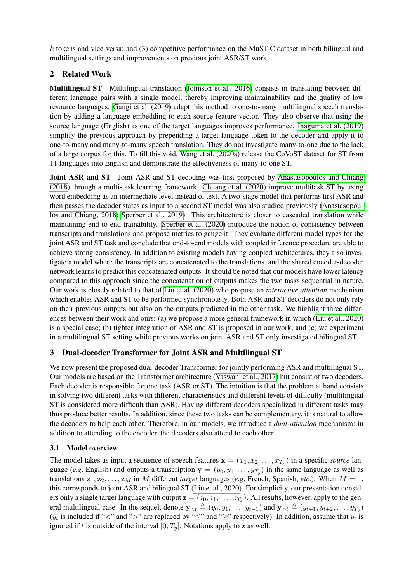<span id="page-1-0"></span> $k$  tokens and vice-versa; and (3) competitive performance on the MuST-C dataset in both bilingual and multilingual settings and improvements on previous joint ASR/ST work.

# 2 Related Work

Multilingual ST Multilingual translation [\(Johnson et al., 2016\)](#page-10-5) consists in translating between different language pairs with a single model, thereby improving maintainability and the quality of low resource languages. [Gangi et al. \(2019\)](#page-10-2) adapt this method to one-to-many multilingual speech translation by adding a language embedding to each source feature vector. They also observe that using the source language (English) as one of the target languages improves performance. [Inaguma et al. \(2019\)](#page-10-3) simplify the previous approach by prepending a target language token to the decoder and apply it to one-to-many and many-to-many speech translation. They do not investigate many-to-one due to the lack of a large corpus for this. To fill this void, [Wang et al. \(2020a\)](#page-11-1) release the CoVoST dataset for ST from 11 languages into English and demonstrate the effectiveness of many-to-one ST.

Joint ASR and ST Joint ASR and ST decoding was first proposed by [Anastasopoulos and Chiang](#page-9-1) [\(2018\)](#page-9-1) through a multi-task learning framework. [Chuang et al. \(2020\)](#page-10-6) improve multitask ST by using word embedding as an intermediate level instead of text. A two-stage model that performs first ASR and then passes the decoder states as input to a second ST model was also studied previously [\(Anastasopou](#page-9-1)[los and Chiang, 2018;](#page-9-1) [Sperber et al., 2019\)](#page-11-4). This architecture is closer to cascaded translation while maintaining end-to-end trainability. [Sperber et al. \(2020\)](#page-11-2) introduce the notion of consistency between transcripts and translations and propose metrics to gauge it. They evaluate different model types for the joint ASR and ST task and conclude that end-to-end models with coupled inference procedure are able to achieve strong consistency. In addition to existing models having coupled architectures, they also investigate a model where the transcripts are concatenated to the translations, and the shared encoder-decoder network learns to predict this concatenated outputs. It should be noted that our models have lower latency compared to this approach since the concatenation of outputs makes the two tasks sequential in nature. Our work is closely related to that of [Liu et al. \(2020\)](#page-11-3) who propose an *interactive attention* mechanism which enables ASR and ST to be performed synchronously. Both ASR and ST decoders do not only rely on their previous outputs but also on the outputs predicted in the other task. We highlight three differences between their work and ours: (a) we propose a more general framework in which [\(Liu et al., 2020\)](#page-11-3) is a special case; (b) tighter integration of ASR and ST is proposed in our work; and (c) we experiment in a multilingual ST setting while previous works on joint ASR and ST only investigated bilingual ST.

# 3 Dual-decoder Transformer for Joint ASR and Multilingual ST

We now present the proposed dual-decoder Transformer for jointly performing ASR and multilingual ST. Our models are based on the Transformer architecture [\(Vaswani et al., 2017\)](#page-11-0) but consist of two decoders. Each decoder is responsible for one task (ASR or ST). The intuition is that the problem at hand consists in solving two different tasks with different characteristics and different levels of difficulty (multilingual ST is considered more difficult than ASR). Having different decoders specialized in different tasks may thus produce better results. In addition, since these two tasks can be complementary, it is natural to allow the decoders to help each other. Therefore, in our models, we introduce a *dual-attention* mechanism: in addition to attending to the encoder, the decoders also attend to each other.

# 3.1 Model overview

The model takes as input a sequence of speech features  $\mathbf{x} = (x_1, x_2, \dots, x_{T_x})$  in a specific *source* language (*e.g*. English) and outputs a transcription  $y = (y_0, y_1, \dots, y_{T_y})$  in the same language as well as translations  $z_1, z_2, \ldots, z_M$  in M different *target* languages (*e.g.* French, Spanish, *etc.*). When  $M = 1$ , this corresponds to joint ASR and bilingual ST [\(Liu et al., 2020\)](#page-11-3). For simplicity, our presentation considers only a single target language with output  $z = (z_0, z_1, \dots, z_{T_z})$ . All results, however, apply to the general multilingual case. In the sequel, denote  $y_{< t} \triangleq (y_0, y_1, \ldots, y_{t-1})$  and  $y_{> t} \triangleq (y_{t+1}, y_{t+2}, \ldots, y_{T_y})$  $(y_t$  is included if "<" and ">" are replaced by " $\leq$ " and " $\geq$ " respectively). In addition, assume that  $y_t$  is ignored if t is outside of the interval  $[0, T_y]$ . Notations apply to z as well.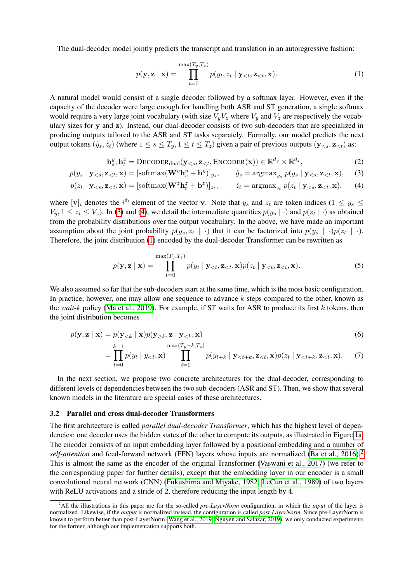<span id="page-2-6"></span>The dual-decoder model jointly predicts the transcript and translation in an autoregressive fashion:

<span id="page-2-4"></span><span id="page-2-2"></span><span id="page-2-1"></span><span id="page-2-0"></span>
$$
p(\mathbf{y}, \mathbf{z} \mid \mathbf{x}) = \prod_{t=0}^{\max(T_y, T_z)} p(y_t, z_t \mid \mathbf{y}_{< t}, \mathbf{z}_{< t}, \mathbf{x}). \tag{1}
$$

A natural model would consist of a single decoder followed by a softmax layer. However, even if the capacity of the decoder were large enough for handling both ASR and ST generation, a single softmax would require a very large joint vocabulary (with size  $V_yV_z$  where  $V_y$  and  $V_z$  are respectively the vocabulary sizes for y and z). Instead, our dual-decoder consists of two sub-decoders that are specialized in producing outputs tailored to the ASR and ST tasks separately. Formally, our model predicts the next output tokens  $(\hat{y}_s, \hat{z}_t)$  (where  $1 \leq s \leq T_y, 1 \leq t \leq T_z$ ) given a pair of previous outputs  $(\mathbf{y}_{\leq s}, \mathbf{z}_{\leq t})$  as:

$$
\mathbf{h}_s^y, \mathbf{h}_t^z = \text{DECODER}_{\text{dual}}(\mathbf{y}_{< s}, \mathbf{z}_{< t}, \text{ENCODER}(\mathbf{x})) \in \mathbb{R}^{d_y} \times \mathbb{R}^{d_z},\tag{2}
$$

$$
p(y_s | \mathbf{y}_{
$$

$$
p(z_t | \mathbf{y}_{\leq s}, \mathbf{z}_{\leq t}, \mathbf{x}) = [\text{softmax}(\mathbf{W}^z \mathbf{h}_t^z + \mathbf{b}^z)]_{z_t}, \qquad \hat{z}_t = \text{argmax}_{z_t} p(z_t | \mathbf{y}_{\leq s}, \mathbf{z}_{\leq t}, \mathbf{x}), \qquad (4)
$$

where  $[v]_i$  denotes the i<sup>th</sup> element of the vector v. Note that  $y_s$  and  $z_t$  are token indices (1  $\leq y_s \leq$  $V_y, 1 \le z_t \le V_z$ ). In [\(3\)](#page-2-0) and [\(4\)](#page-2-1), we detail the intermediate quantities  $p(y_s | \cdot)$  and  $p(z_t | \cdot)$  as obtained from the probability distributions over the output vocabulary. In the above, we have made an important assumption about the joint probability  $p(y_s, z_t | \cdot)$  that it can be factorized into  $p(y_s | \cdot) p(z_t | \cdot)$ . Therefore, the joint distribution [\(1\)](#page-2-2) encoded by the dual-decoder Transformer can be rewritten as

<span id="page-2-5"></span>
$$
p(\mathbf{y}, \mathbf{z} \mid \mathbf{x}) = \prod_{t=0}^{\max(T_y, T_z)} p(y_t \mid \mathbf{y}_{< t}, \mathbf{z}_{< t}, \mathbf{x}) p(z_t \mid \mathbf{y}_{< t}, \mathbf{z}_{< t}, \mathbf{x}). \tag{5}
$$

We also assumed so far that the sub-decoders start at the same time, which is the most basic configuration. In practice, however, one may allow one sequence to advance  $k$  steps compared to the other, known as the *wait-*k policy [\(Ma et al., 2019\)](#page-11-5). For example, if ST waits for ASR to produce its first k tokens, then the joint distribution becomes

$$
p(\mathbf{y}, \mathbf{z} \mid \mathbf{x}) = p(\mathbf{y}_{< k} \mid \mathbf{x}) p(\mathbf{y}_{\geq k}, \mathbf{z} \mid \mathbf{y}_{< k}, \mathbf{x}) \tag{6}
$$

$$
= \prod_{t=0}^{k-1} p(y_t | y_{< t}, \mathbf{x}) \prod_{t=0}^{\max(T_y - k, T_z)} p(y_{t+k} | \mathbf{y}_{< t+k}, \mathbf{z}_{< t}, \mathbf{x}) p(z_t | \mathbf{y}_{< t+k}, \mathbf{z}_{< t}, \mathbf{x}). \tag{7}
$$

In the next section, we propose two concrete architectures for the dual-decoder, corresponding to different levels of dependencies between the two sub-decoders (ASR and ST). Then, we show that several known models in the literature are special cases of these architectures.

#### 3.2 Parallel and cross dual-decoder Transformers

The first architecture is called *parallel dual-decoder Transformer*, which has the highest level of dependencies: one decoder uses the hidden states of the other to compute its outputs, as illustrated in Figure [1a.](#page-3-0) The encoder consists of an input embedding layer followed by a positional embedding and a number of *self-attention* and feed-forward network (FFN) layers whose inputs are normalized [\(Ba et al., 2016\)](#page-10-7).<sup>[2](#page-2-3)</sup> This is almost the same as the encoder of the original Transformer [\(Vaswani et al., 2017\)](#page-11-0) (we refer to the corresponding paper for further details), except that the embedding layer in our encoder is a small convolutional neural network (CNN) [\(Fukushima and Miyake, 1982;](#page-10-8) [LeCun et al., 1989\)](#page-11-6) of two layers with ReLU activations and a stride of 2, therefore reducing the input length by 4.

<span id="page-2-3"></span><sup>2</sup>All the illustrations in this paper are for the so-called *pre-LayerNorm* configuration, in which the *input* of the layer is normalized. Likewise, if the *output* is normalized instead, the configuration is called *post-LayerNorm*. Since pre-LayerNorm is known to perform better than post-LayerNorm [\(Wang et al., 2019;](#page-11-7) [Nguyen and Salazar, 2019\)](#page-11-8), we only conducted experiments for the former, although our implementation supports both.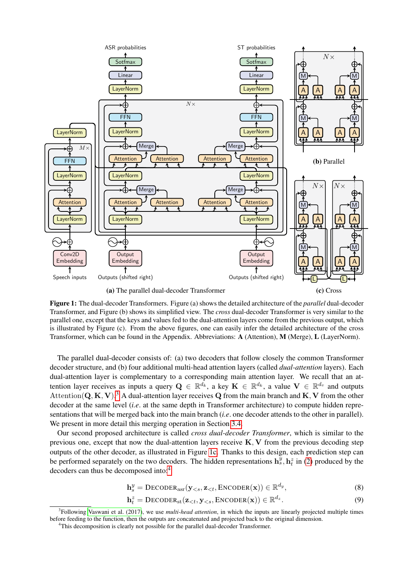<span id="page-3-0"></span>

Figure 1: The dual-decoder Transformers. Figure (a) shows the detailed architecture of the *parallel* dual-decoder Transformer, and Figure (b) shows its simplified view. The *cross* dual-decoder Transformer is very similar to the parallel one, except that the keys and values fed to the dual-attention layers come from the previous output, which is illustrated by Figure (c). From the above figures, one can easily infer the detailed architecture of the cross Transformer, which can be found in the Appendix. Abbreviations: A (Attention), M (Merge), L (LayerNorm).

The parallel dual-decoder consists of: (a) two decoders that follow closely the common Transformer decoder structure, and (b) four additional multi-head attention layers (called *dual-attention* layers). Each dual-attention layer is complementary to a corresponding main attention layer. We recall that an attention layer receives as inputs a query  $\mathbf{Q} \in \mathbb{R}^{d_k}$ , a key  $\mathbf{K} \in \mathbb{R}^{d_k}$ , a value  $\mathbf{V} \in \mathbb{R}^{d_v}$  and outputs Attention(Q, K, V).<sup>[3](#page-3-1)</sup> A dual-attention layer receives Q from the main branch and K, V from the other decoder at the same level (*i.e*. at the same depth in Transformer architecture) to compute hidden representations that will be merged back into the main branch (*i.e*. one decoder attends to the other in parallel). We present in more detail this merging operation in Section [3.4.](#page-4-0)

Our second proposed architecture is called *cross dual-decoder Transformer*, which is similar to the previous one, except that now the dual-attention layers receive  $K, V$  from the previous decoding step outputs of the other decoder, as illustrated in Figure [1c.](#page-3-0) Thanks to this design, each prediction step can be performed separately on the two decoders. The hidden representations  $\mathbf{h}_s^{\bar{y}}$ ,  $\mathbf{h}_t^{\bar{z}}$  in [\(2\)](#page-2-4) produced by the decoders can thus be decomposed into:[4](#page-3-2)

$$
\mathbf{h}_s^y = \text{DECODER}_{\text{asr}}(\mathbf{y}_{< s}, \mathbf{z}_{< t}, \text{ENCODER}(\mathbf{x})) \in \mathbb{R}^{d_y},\tag{8}
$$

$$
\mathbf{h}_t^z = \text{DECODER}_{\text{st}}(\mathbf{z}_{< t}, \mathbf{y}_{< s}, \text{ENCODER}(\mathbf{x})) \in \mathbb{R}^{d_z}.
$$
\n(9)

<span id="page-3-1"></span><sup>3</sup> Following [Vaswani et al. \(2017\)](#page-11-0), we use *multi-head attention*, in which the inputs are linearly projected multiple times before feeding to the function, then the outputs are concatenated and projected back to the original dimension.

<span id="page-3-2"></span><sup>&</sup>lt;sup>4</sup>This decomposition is clearly not possible for the parallel dual-decoder Transformer.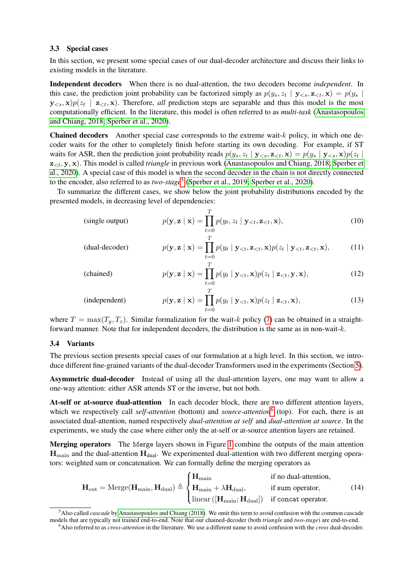#### <span id="page-4-4"></span>3.3 Special cases

In this section, we present some special cases of our dual-decoder architecture and discuss their links to existing models in the literature.

Independent decoders When there is no dual-attention, the two decoders become *independent*. In this case, the prediction joint probability can be factorized simply as  $p(y_s, z_t | \mathbf{y}_{\leq s}, \mathbf{z}_{\leq t}, \mathbf{x}) = p(y_s |$  $y_{\leq s}$ ,  $x$ ) $p(z_t \mid z_{\leq t}, x)$ . Therefore, *all* prediction steps are separable and thus this model is the most computationally efficient. In the literature, this model is often referred to as *multi-task* [\(Anastasopoulos](#page-9-1) [and Chiang, 2018;](#page-9-1) [Sperber et al., 2020\)](#page-11-2).

**Chained decoders** Another special case corresponds to the extreme wait- $k$  policy, in which one decoder waits for the other to completely finish before starting its own decoding. For example, if ST waits for ASR, then the prediction joint probability reads  $p(y_s, z_t | \mathbf{y}_{\leq s}, \mathbf{z}_{\leq t}, \mathbf{x}) = p(y_s | \mathbf{y}_{\leq s}, \mathbf{x}) p(z_t |$ z<t, y, x). This model is called *triangle* in previous work [\(Anastasopoulos and Chiang, 2018;](#page-9-1) [Sperber et](#page-11-2) [al., 2020\)](#page-11-2). A special case of this model is when the second decoder in the chain is not directly connected to the encoder, also referred to as *two-stage*<sup>[5](#page-4-1)</sup> [\(Sperber et al., 2019;](#page-11-4) [Sperber et al., 2020\)](#page-11-2).

To summarize the different cases, we show below the joint probability distributions encoded by the presented models, in decreasing level of dependencies:

(single output) 
$$
p(\mathbf{y}, \mathbf{z} \mid \mathbf{x}) = \prod_{t=0}^{T} p(y_t, z_t \mid \mathbf{y}_{< t}, \mathbf{z}_{< t}, \mathbf{x}), \tag{10}
$$

(dual-decode) 
$$
p(\mathbf{y}, \mathbf{z} \mid \mathbf{x}) = \prod_{t=0}^{T} p(y_t \mid \mathbf{y}_{< t}, \mathbf{z}_{< t}, \mathbf{x}) p(z_t \mid \mathbf{y}_{< t}, \mathbf{z}_{< t}, \mathbf{x}), \tag{11}
$$

(chained) 
$$
p(\mathbf{y}, \mathbf{z} \mid \mathbf{x}) = \prod_{t=0}^{T} p(y_t \mid \mathbf{y}_{< t}, \mathbf{x}) p(z_t \mid \mathbf{z}_{< t}, \mathbf{y}, \mathbf{x}), \tag{12}
$$

(independent) 
$$
p(\mathbf{y}, \mathbf{z} | \mathbf{x}) = \prod_{t=0}^{T} p(y_t | \mathbf{y}_{< t}, \mathbf{x}) p(z_t | \mathbf{z}_{< t}, \mathbf{x}), \qquad (13)
$$

where  $T = \max(T_u, T_z)$ . Similar formalization for the wait-k policy [\(7\)](#page-2-5) can be obtained in a straightforward manner. Note that for independent decoders, the distribution is the same as in non-wait- $k$ .

#### <span id="page-4-0"></span>3.4 Variants

The previous section presents special cases of our formulation at a high level. In this section, we introduce different fine-grained variants of the dual-decoder Transformers used in the experiments (Section [5\)](#page-5-0).

Asymmetric dual-decoder Instead of using all the dual-attention layers, one may want to allow a one-way attention: either ASR attends ST or the inverse, but not both.

At-self or at-source dual-attention In each decoder block, there are two different attention layers, which we respectively call *self-attention* (bottom) and *source-attention*<sup>[6](#page-4-2)</sup> (top). For each, there is an associated dual-attention, named respectively *dual-attention at self* and *dual-attention at source*. In the experiments, we study the case where either only the at-self or at-source attention layers are retained.

Merging operators The Merge layers shown in Figure [1](#page-3-0) combine the outputs of the main attention  $H_{\text{main}}$  and the dual-attention  $H_{\text{dual}}$ . We experimented dual-attention with two different merging operators: weighted sum or concatenation. We can formally define the merging operators as

<span id="page-4-3"></span>
$$
\mathbf{H}_{out} = \text{Merge}(\mathbf{H}_{main}, \mathbf{H}_{dual}) \triangleq \begin{cases} \mathbf{H}_{main} & \text{if no dual-attention,} \\ \mathbf{H}_{main} + \lambda \mathbf{H}_{dual}, & \text{if sum operator,} \\ \text{linear }([\mathbf{H}_{main}; \mathbf{H}_{dual}]) & \text{if concat operator.} \end{cases}
$$
(14)

<span id="page-4-1"></span><sup>5</sup>Also called *cascade* by [Anastasopoulos and Chiang \(2018\)](#page-9-1). We omit this term to avoid confusion with the common cascade models that are typically not trained end-to-end. Note that our chained-decoder (both *triangle* and *two-stage*) are end-to-end.

<span id="page-4-2"></span><sup>6</sup>Also referred to as *cross-attention* in the literature. We use a different name to avoid confusion with the *cross* dual-decoder.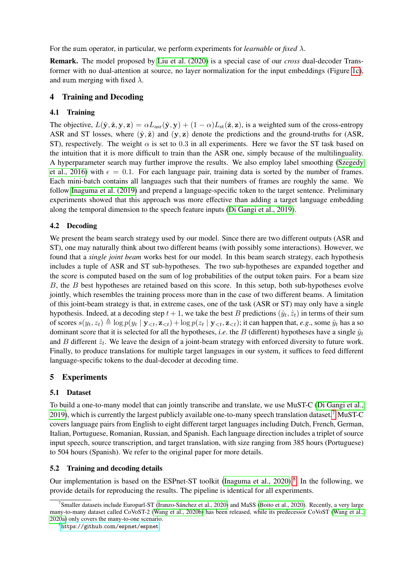<span id="page-5-4"></span>For the sum operator, in particular, we perform experiments for *learnable* or *fixed*  $\lambda$ .

Remark. The model proposed by [Liu et al. \(2020\)](#page-11-3) is a special case of our *cross* dual-decoder Transformer with no dual-attention at source, no layer normalization for the input embeddings (Figure [1c\)](#page-3-0), and sum merging with fixed  $\lambda$ .

## 4 Training and Decoding

## 4.1 Training

The objective,  $L(\hat{y}, \hat{z}, y, z) = \alpha L_{asr}(\hat{y}, y) + (1 - \alpha) L_{st}(\hat{z}, z)$ , is a weighted sum of the cross-entropy ASR and ST losses, where  $(\hat{y}, \hat{z})$  and  $(y, z)$  denote the predictions and the ground-truths for (ASR, ST), respectively. The weight  $\alpha$  is set to 0.3 in all experiments. Here we favor the ST task based on the intuition that it is more difficult to train than the ASR one, simply because of the multilinguality. A hyperparameter search may further improve the results. We also employ label smoothing [\(Szegedy](#page-11-9) [et al., 2016\)](#page-11-9) with  $\epsilon = 0.1$ . For each language pair, training data is sorted by the number of frames. Each mini-batch contains all languages such that their numbers of frames are roughly the same. We follow [Inaguma et al. \(2019\)](#page-10-3) and prepend a language-specific token to the target sentence. Preliminary experiments showed that this approach was more effective than adding a target language embedding along the temporal dimension to the speech feature inputs [\(Di Gangi et al., 2019\)](#page-10-4).

## <span id="page-5-3"></span>4.2 Decoding

We present the beam search strategy used by our model. Since there are two different outputs (ASR and ST), one may naturally think about two different beams (with possibly some interactions). However, we found that a *single joint beam* works best for our model. In this beam search strategy, each hypothesis includes a tuple of ASR and ST sub-hypotheses. The two sub-hypotheses are expanded together and the score is computed based on the sum of log probabilities of the output token pairs. For a beam size B, the B best hypotheses are retained based on this score. In this setup, both sub-hypotheses evolve jointly, which resembles the training process more than in the case of two different beams. A limitation of this joint-beam strategy is that, in extreme cases, one of the task (ASR or ST) may only have a single hypothesis. Indeed, at a decoding step  $t + 1$ , we take the best B predictions  $(\hat{y}_t, \hat{z}_t)$  in terms of their sum of scores  $s(y_t, z_t) \triangleq \log p(y_t | \mathbf{y}_{\leq t}, \mathbf{z}_{\leq t}) + \log p(z_t | \mathbf{y}_{\leq t}, \mathbf{z}_{\leq t})$ ; it can happen that, *e.g.*, some  $\hat{y}_t$  has a so dominant score that it is selected for all the hypotheses, *i.e.* the B (different) hypotheses have a single  $\hat{y}_t$ and B different  $\hat{z}_t$ . We leave the design of a joint-beam strategy with enforced diversity to future work. Finally, to produce translations for multiple target languages in our system, it suffices to feed different language-specific tokens to the dual-decoder at decoding time.

## <span id="page-5-0"></span>5 Experiments

#### 5.1 Dataset

To build a one-to-many model that can jointly transcribe and translate, we use MuST-C [\(Di Gangi et al.,](#page-10-4) [2019\)](#page-10-4), which is currently the largest publicly available one-to-many speech translation dataset.[7](#page-5-1) MuST-C covers language pairs from English to eight different target languages including Dutch, French, German, Italian, Portuguese, Romanian, Russian, and Spanish. Each language direction includes a triplet of source input speech, source transcription, and target translation, with size ranging from 385 hours (Portuguese) to 504 hours (Spanish). We refer to the original paper for more details.

#### 5.2 Training and decoding details

Our implementation is based on the ESPnet-ST toolkit (Inaguma et al.,  $2020$ ).<sup>[8](#page-5-2)</sup> In the following, we provide details for reproducing the results. The pipeline is identical for all experiments.

<span id="page-5-1"></span><sup>7</sup> Smaller datasets include Europarl-ST [\(Iranzo-Sánchez et al., 2020\)](#page-10-10) and MaSS [\(Boito et al., 2020\)](#page-10-11). Recently, a very large many-to-many dataset called CoVoST-2 [\(Wang et al., 2020b\)](#page-12-1) has been released, while its predecessor CoVoST [\(Wang et al.,](#page-11-1) [2020a\)](#page-11-1) only covers the many-to-one scenario.

<span id="page-5-2"></span><sup>8</sup><https://github.com/espnet/espnet>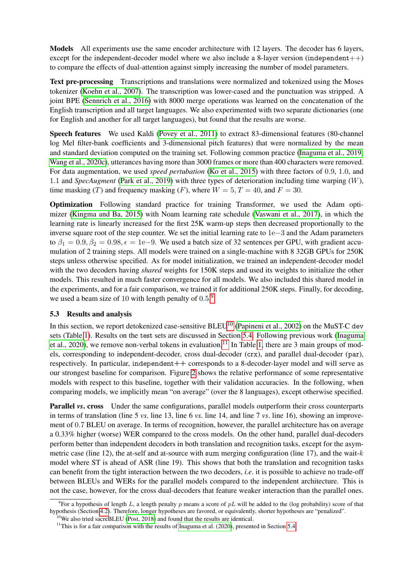<span id="page-6-3"></span>Models All experiments use the same encoder architecture with 12 layers. The decoder has 6 layers, except for the independent-decoder model where we also include a 8-layer version (independent $++$ ) to compare the effects of dual-attention against simply increasing the number of model parameters.

Text pre-processing Transcriptions and translations were normalized and tokenized using the Moses tokenizer [\(Koehn et al., 2007\)](#page-11-10). The transcription was lower-cased and the punctuation was stripped. A joint BPE [\(Sennrich et al., 2016\)](#page-11-11) with 8000 merge operations was learned on the concatenation of the English transcription and all target languages. We also experimented with two separate dictionaries (one for English and another for all target languages), but found that the results are worse.

Speech features We used Kaldi [\(Povey et al., 2011\)](#page-11-12) to extract 83-dimensional features (80-channel log Mel filter-bank coefficients and 3-dimensional pitch features) that were normalized by the mean and standard deviation computed on the training set. Following common practice [\(Inaguma et al., 2019;](#page-10-3) [Wang et al., 2020c\)](#page-12-2), utterances having more than 3000 frames or more than 400 characters were removed. For data augmentation, we used *speed pertubation* [\(Ko et al., 2015\)](#page-11-13) with three factors of 0.9, 1.0, and 1.1 and *SpecAugment* [\(Park et al., 2019\)](#page-11-14) with three types of deterioration including time warping (W), time masking (T) and frequency masking (F), where  $W = 5, T = 40$ , and  $F = 30$ .

Optimization Following standard practice for training Transformer, we used the Adam optimizer [\(Kingma and Ba, 2015\)](#page-10-12) with Noam learning rate schedule [\(Vaswani et al., 2017\)](#page-11-0), in which the learning rate is linearly increased for the first 25K warm-up steps then decreased proportionally to the inverse square root of the step counter. We set the initial learning rate to 1e−3 and the Adam parameters to  $\beta_1 = 0.9, \beta_2 = 0.98, \epsilon = 1e-9$ . We used a batch size of 32 sentences per GPU, with gradient accumulation of 2 training steps. All models were trained on a single-machine with 8 32GB GPUs for 250K steps unless otherwise specified. As for model initialization, we trained an independent-decoder model with the two decoders having *shared* weights for 150K steps and used its weights to initialize the other models. This resulted in much faster convergence for all models. We also included this shared model in the experiments, and for a fair comparison, we trained it for additional 250K steps. Finally, for decoding, we used a beam size of 10 with length penalty of  $0.5$ .<sup>[9](#page-6-0)</sup>

#### 5.3 Results and analysis

In this section, we report detokenized case-sensitive  $BLEU^{10}$  $BLEU^{10}$  $BLEU^{10}$  [\(Papineni et al., 2002\)](#page-11-15) on the MuST-C dev sets (Table [1\)](#page-7-0). Results on the test sets are discussed in Section [5.4.](#page-8-0) Following previous work [\(Inaguma](#page-10-9) [et al., 2020\)](#page-10-9), we remove non-verbal tokens in evaluation.<sup>[11](#page-6-2)</sup> In Table [1,](#page-7-0) there are 3 main groups of models, corresponding to independent-decoder, cross dual-decoder (crx), and parallel dual-decoder (par), respectively. In particular, independent++ corresponds to a 8-decoder-layer model and will serve as our strongest baseline for comparison. Figure [2](#page-8-1) shows the relative performance of some representative models with respect to this baseline, together with their validation accuracies. In the following, when comparing models, we implicitly mean "on average" (over the 8 languages), except otherwise specified.

**Parallel** *vs*. cross Under the same configurations, parallel models outperform their cross counterparts in terms of translation (line 5 *vs*. line 13, line 6 *vs*. line 14, and line 7 *vs*. line 16), showing an improvement of 0.7 BLEU on average. In terms of recognition, however, the parallel architecture has on average a 0.33% higher (worse) WER compared to the cross models. On the other hand, parallel dual-decoders perform better than independent decoders in both translation and recognition tasks, except for the asymmetric case (line 12), the at-self and at-source with sum merging configuration (line 17), and the wait- $k$ model where ST is ahead of ASR (line 19). This shows that both the translation and recognition tasks can benefit from the tight interaction between the two decoders, *i.e*. it is possible to achieve no trade-off between BLEUs and WERs for the parallel models compared to the independent architecture. This is not the case, however, for the cross dual-decoders that feature weaker interaction than the parallel ones.

<span id="page-6-0"></span><sup>&</sup>lt;sup>9</sup> For a hypothesis of length L, a length penalty p means a score of pL will be added to the (log probability) score of that hypothesis (Section [4.2\)](#page-5-3). Therefore, longer hypotheses are favored, or equivalently, shorter hypotheses are "penalized".

<span id="page-6-1"></span> $10$ We also tried sacreBLEU [\(Post, 2018\)](#page-11-16) and found that the results are identical.

<span id="page-6-2"></span> $11$ This is for a fair comparison with the results of [Inaguma et al. \(2020\)](#page-10-9), presented in Section [5.4.](#page-8-0)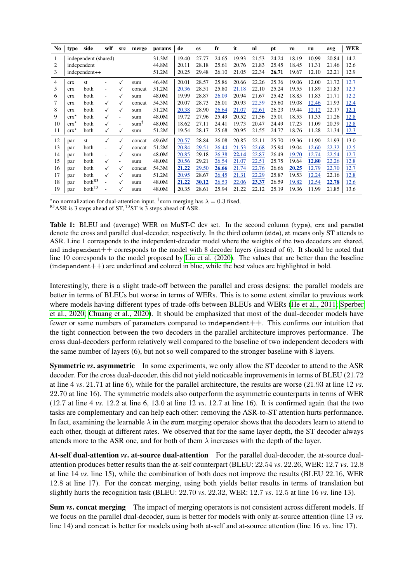<span id="page-7-1"></span><span id="page-7-0"></span>

| No | type          | side                 | self | src          | merge            | params | de    | es    | fr    | it    | nl    | pt    | r <sub>0</sub> | ru    | avg   | <b>WER</b> |
|----|---------------|----------------------|------|--------------|------------------|--------|-------|-------|-------|-------|-------|-------|----------------|-------|-------|------------|
| 1  |               | independent (shared) |      |              |                  | 31.3M  | 19.40 | 27.77 | 24.65 | 19.93 | 21.53 | 24.24 | 18.19          | 10.99 | 20.84 | 14.2       |
| 2  |               | independent          |      |              |                  | 44.8M  | 20.11 | 28.18 | 25.61 | 20.76 | 21.83 | 25.45 | 18.45          | 11.31 | 21.46 | 12.6       |
| 3  |               | independent++        |      |              |                  | 51.2M  | 20.25 | 29.48 | 26.10 | 21.05 | 22.34 | 26.71 | 19.67          | 12.10 | 22.21 | 12.9       |
| 4  | <b>crx</b>    | st                   |      | $\checkmark$ | sum              | 46.4M  | 20.01 | 28.57 | 25.86 | 20.66 | 22.26 | 25.36 | 19.06          | 12.00 | 21.72 | 12.7       |
| 5  | <b>CTX</b>    | both                 | ۰    |              | concat           | 51.2M  | 20.36 | 28.51 | 25.80 | 21.18 | 22.10 | 25.24 | 19.55          | 11.89 | 21.83 | 12.3       |
| 6  | <b>CTX</b>    | both                 |      |              | sum              | 48.0M  | 19.99 | 28.87 | 26.09 | 20.94 | 21.67 | 25.42 | 18.85          | 11.83 | 21.71 | 12.2       |
| 7  | <b>CTX</b>    | both                 |      |              | concat           | 54.3M  | 20.07 | 28.73 | 26.01 | 20.93 | 22.59 | 25.60 | 19.08          | 12.46 | 21.93 | 12.4       |
| 8  | <b>CTX</b>    | both                 |      | ✓            | sum              | 51.2M  | 20.38 | 28.90 | 26.64 | 21.07 | 22.61 | 26.23 | 19.44          | 12.12 | 22.17 | 12.1       |
| 9  | $crx^{\star}$ | both                 |      |              | sum              | 48.0M  | 19.72 | 27.96 | 25.49 | 20.52 | 21.56 | 25.01 | 18.53          | 11.33 | 21.26 | 12.8       |
| 10 | $crx^*$       | both                 |      |              | sum <sup>1</sup> | 48.0M  | 18.62 | 27.11 | 24.41 | 19.73 | 20.47 | 24.49 | 17.23          | 11.09 | 20.39 | 12.8       |
| 11 | $crx^*$       | both                 |      | $\checkmark$ | sum              | 51.2M  | 19.54 | 28.17 | 25.68 | 20.95 | 21.55 | 24.77 | 18.76          | 11.28 | 21.34 | 12.3       |
| 12 | par           | st                   | ✓    | $\checkmark$ | concat           | 49.6M  | 20.57 | 28.84 | 26.08 | 20.85 | 22.11 | 25.70 | 19.36          | 11.90 | 21.93 | 13.0       |
| 13 | par           | both                 | ٠    |              | concat           | 51.2M  | 20.84 | 29.51 | 26.44 | 21.53 | 22.68 | 25.94 | 19.04          | 12.60 | 22.32 | 12.5       |
| 14 | par           | both                 |      |              | sum              | 48.0M  | 20.85 | 29.18 | 26.38 | 22.14 | 22.87 | 26.49 | 19.70          | 12.74 | 22.54 | 12.7       |
| 15 | par           | both                 |      |              | sum              | 48.0M  | 20.56 | 29.21 | 26.54 | 21.07 | 22.51 | 25.75 | 19.64          | 12.80 | 22.26 | 12.8       |
| 16 | par           | both                 |      |              | concat           | 54.3M  | 21.22 | 29.50 | 26.66 | 21.74 | 22.76 | 26.66 | 20.25          | 12.79 | 22.70 | 12.7       |
| 17 | par           | both                 |      | ✓            | sum              | 51.2M  | 20.95 | 28.67 | 26.45 | 21.31 | 22.29 | 25.87 | 19.53          | 12.24 | 22.16 | 12.8       |
| 18 | par           | both <sup>R3</sup>   |      | √            | sum              | 48.0M  | 21.22 | 30.12 | 26.53 | 22.06 | 23.37 | 26.59 | 19.82          | 12.54 | 22.78 | 12.6       |
| 19 | par           | both <sup>T3</sup>   |      |              | sum              | 48.0M  | 20.35 | 28.61 | 25.94 | 21.22 | 22.12 | 25.19 | 19.36          | 11.99 | 21.85 | 13.6       |

\*no normalization for dual-attention input, <sup>†</sup>sum merging has  $\lambda = 0.3$  fixed,

 $R<sup>3</sup>ASR$  is 3 steps ahead of ST, <sup>T3</sup>ST is 3 steps ahead of ASR.

Table 1: BLEU and (average) WER on MuST-C dev set. In the second column (type), crx and parallel denote the cross and parallel dual-decoder, respectively. In the third column (side), st means only ST attends to ASR. Line 1 corresponds to the independent-decoder model where the weights of the two decoders are shared. and independent + + corresponds to the model with 8 decoder layers (instead of 6). It should be noted that line 10 corresponds to the model proposed by Liu et al. (2020). The values that are better than the baseline  $(independent++)$  are underlined and colored in blue, while the best values are highlighted in bold.

Interestingly, there is a slight trade-off between the parallel and cross designs: the parallel models are better in terms of BLEUs but worse in terms of WERs. This is to some extent similar to previous work where models having different types of trade-offs between BLEUs and WERs (He et al., 2011; Sperber et al., 2020; Chuang et al., 2020). It should be emphasized that most of the dual-decoder models have fewer or same numbers of parameters compared to independent ++. This confirms our intuition that the tight connection between the two decoders in the parallel architecture improves performance. The cross dual-decoders perform relatively well compared to the baseline of two independent decoders with the same number of layers (6), but not so well compared to the stronger baseline with 8 layers.

**Symmetric vs. asymmetric** In some experiments, we only allow the ST decoder to attend to the ASR decoder. For the cross dual-decoder, this did not yield noticeable improvements in terms of BLEU (21.72) at line 4 vs. 21.71 at line 6), while for the parallel architecture, the results are worse  $(21.93$  at line 12 vs. 22.70 at line 16). The symmetric models also outperform the asymmetric counterparts in terms of WER  $(12.7 \text{ at line } 4 \text{ vs. } 12.2 \text{ at line } 6, 13.0 \text{ at line } 12 \text{ vs. } 12.7 \text{ at line } 16)$ . It is confirmed again that the two tasks are complementary and can help each other: removing the ASR-to-ST attention hurts performance. In fact, examining the learnable  $\lambda$  in the sum merging operator shows that the decoders learn to attend to each other, though at different rates. We observed that for the same layer depth, the ST decoder always attends more to the ASR one, and for both of them  $\lambda$  increases with the depth of the layer.

At-self dual-attention vs. at-source dual-attention For the parallel dual-decoder, the at-source dualattention produces better results than the at-self counterpart (BLEU: 22.54 vs. 22.26, WER: 12.7 vs. 12.8) at line 14 vs. line 15), while the combination of both does not improve the results (BLEU 22.16, WER 12.8 at line 17). For the concat merging, using both yields better results in terms of translation but slightly hurts the recognition task (BLEU:  $22.70$  vs.  $22.32$ , WER:  $12.7$  vs.  $12.5$  at line 16 vs. line 13).

**Sum vs. concat merging** The impact of merging operators is not consistent across different models. If we focus on the parallel dual-decoder, sum is better for models with only at-source attention (line 13 vs. line 14) and concat is better for models using both at-self and at-source attention (line 16 vs. line 17).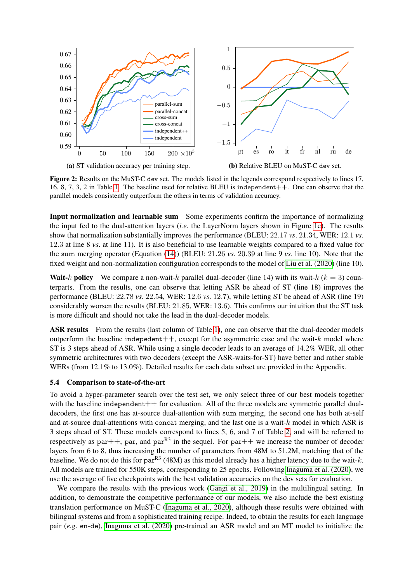<span id="page-8-2"></span><span id="page-8-1"></span>

Figure 2: Results on the MuST-C dev set. The models listed in the legends correspond respectively to lines 17, 16, 8, 7, 3, 2 in Table [1.](#page-7-0) The baseline used for relative BLEU is independent++. One can observe that the parallel models consistently outperform the others in terms of validation accuracy.

Input normalization and learnable sum Some experiments confirm the importance of normalizing the input fed to the dual-attention layers (*i.e*. the LayerNorm layers shown in Figure [1c\)](#page-3-0). The results show that normalization substantially improves the performance (BLEU: 22.17 *vs*. 21.34, WER: 12.1 *vs*. 12.3 at line 8 *vs*. at line 11). It is also beneficial to use learnable weights compared to a fixed value for the sum merging operator (Equation [\(14\)](#page-4-3)) (BLEU: 21.26 *vs*. 20.39 at line 9 *vs*. line 10). Note that the fixed weight and non-normalization configuration corresponds to the model of [Liu et al. \(2020\)](#page-11-3) (line 10).

**Wait-**k **policy** We compare a non-wait-k parallel dual-decoder (line 14) with its wait-k  $(k = 3)$  counterparts. From the results, one can observe that letting ASR be ahead of ST (line 18) improves the performance (BLEU: 22.78 *vs*. 22.54, WER: 12.6 *vs*. 12.7), while letting ST be ahead of ASR (line 19) considerably worsen the results (BLEU: 21.85, WER: 13.6). This confirms our intuition that the ST task is more difficult and should not take the lead in the dual-decoder models.

ASR results From the results (last column of Table [1\)](#page-7-0), one can observe that the dual-decoder models outperform the baseline indepedent  $++$ , except for the asymmetric case and the wait- $k$  model where ST is 3 steps ahead of ASR. While using a single decoder leads to an average of 14.2% WER, all other symmetric architectures with two decoders (except the ASR-waits-for-ST) have better and rather stable WERs (from 12.1% to 13.0%). Detailed results for each data subset are provided in the Appendix.

#### <span id="page-8-0"></span>5.4 Comparison to state-of-the-art

To avoid a hyper-parameter search over the test set, we only select three of our best models together with the baseline independent  $++$  for evaluation. All of the three models are symmetric parallel dualdecoders, the first one has at-source dual-attention with sum merging, the second one has both at-self and at-source dual-attentions with concat merging, and the last one is a wait- $k$  model in which ASR is 3 steps ahead of ST. These models correspond to lines 5, 6, and 7 of Table [2,](#page-9-2) and will be referred to respectively as par++, par, and par $R^3$  in the sequel. For par++ we increase the number of decoder layers from 6 to 8, thus increasing the number of parameters from 48M to 51.2M, matching that of the baseline. We do not do this for par<sup>R3</sup> (48M) as this model already has a higher latency due to the wait-k. All models are trained for 550K steps, corresponding to 25 epochs. Following [Inaguma et al. \(2020\)](#page-10-9), we use the average of five checkpoints with the best validation accuracies on the dev sets for evaluation.

We compare the results with the previous work [\(Gangi et al., 2019\)](#page-10-2) in the multilingual setting. In addition, to demonstrate the competitive performance of our models, we also include the best existing translation performance on MuST-C [\(Inaguma et al., 2020\)](#page-10-9), although these results were obtained with bilingual systems and from a sophisticated training recipe. Indeed, to obtain the results for each language pair (*e.g*. en-de), [Inaguma et al. \(2020\)](#page-10-9) pre-trained an ASR model and an MT model to initialize the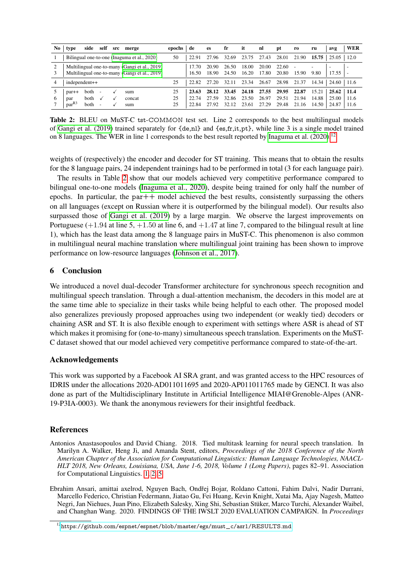<span id="page-9-4"></span><span id="page-9-2"></span>

| No | self<br>src<br>merge<br>side<br>type                                                           | epochs         | de             | <b>es</b>               | fr                      | it                      | nl                      | pt                      | ro                      | ru                      | avg                     | WER                   |
|----|------------------------------------------------------------------------------------------------|----------------|----------------|-------------------------|-------------------------|-------------------------|-------------------------|-------------------------|-------------------------|-------------------------|-------------------------|-----------------------|
|    | Bilingual one-to-one (Inaguma et al., 2020)                                                    | 50             | 22.91          | 27.96                   | 32.69                   | 23.75                   | 27.43                   | 28.01                   | 21.90                   | 15.75                   | 25.05                   | 12.0                  |
|    | Multilingual one-to-many (Gangi et al., 2019)<br>Multilingual one-to-many (Gangi et al., 2019) |                | 7 70<br>16.50  | 20.90<br>18.90          | 26.50<br>24.50          | 18.00<br>16.20          | 20.00<br>17.80          | 22.60<br>20.80          | 15.90                   | 9.80                    | 17.55                   |                       |
|    | independent++                                                                                  | 25             | 22.82          | 27.20                   | 32.11                   | 23.34                   | 26.67                   | 28.98                   | 21.37                   | 14.34                   | 24.60                   | 11.6                  |
|    | both<br>$par++$<br>sum<br>۰<br><b>both</b><br>concat<br>par<br>$par^{R3}$<br>both<br>sum       | 25<br>25<br>25 | 23.63<br>22.84 | 28.12<br>27.59<br>27.92 | 33.45<br>32.86<br>32.12 | 24.18<br>23.50<br>23.61 | 27.55<br>26.97<br>27.29 | 29.95<br>29.51<br>29.48 | 22.87<br>21.94<br>21.16 | 15.21<br>14.88<br>14.50 | 25.62<br>25.00<br>24.87 | -11.4<br>11.6<br>11.6 |

Table 2: BLEU on MuST-C tst-COMMON test set. Line 2 corresponds to the best multilingual models of Gangi et al. (2019) trained separately for  $\{de, nl\}$  and  $\{es, fr, it, pt\}$ , while line 3 is a single model trained on 8 languages. The WER in line 1 corresponds to the best result reported by Inaguma et al.  $(2020)^{12}$ 

weights of (respectively) the encoder and decoder for ST training. This means that to obtain the results for the 8 language pairs, 24 independent trainings had to be performed in total (3 for each language pair).

The results in Table 2 show that our models achieved very competitive performance compared to bilingual one-to-one models (Inaguma et al., 2020), despite being trained for only half the number of epochs. In particular, the par $++$  model achieved the best results, consistently surpassing the others on all languages (except on Russian where it is outperformed by the bilingual model). Our results also surpassed those of Gangi et al. (2019) by a large margin. We observe the largest improvements on Portuguese  $(+1.94$  at line 5,  $+1.50$  at line 6, and  $+1.47$  at line 7, compared to the bilingual result at line 1), which has the least data among the 8 language pairs in MuST-C. This phenomenon is also common in multilingual neural machine translation where multilingual joint training has been shown to improve performance on low-resource languages (Johnson et al., 2017).

#### Conclusion 6

We introduced a novel dual-decoder Transformer architecture for synchronous speech recognition and multilingual speech translation. Through a dual-attention mechanism, the decoders in this model are at the same time able to specialize in their tasks while being helpful to each other. The proposed model also generalizes previously proposed approaches using two independent (or weakly tied) decoders or chaining ASR and ST. It is also flexible enough to experiment with settings where ASR is ahead of ST which makes it promising for (one-to-many) simultaneous speech translation. Experiments on the MuST-C dataset showed that our model achieved very competitive performance compared to state-of-the-art.

#### **Acknowledgements**

This work was supported by a Facebook AI SRA grant, and was granted access to the HPC resources of IDRIS under the allocations 2020-AD011011695 and 2020-AP011011765 made by GENCI. It was also done as part of the Multidisciplinary Institute in Artificial Intelligence MIAI@Grenoble-Alpes (ANR-19-P3IA-0003). We thank the anonymous reviewers for their insightful feedback.

## **References**

- <span id="page-9-1"></span>Antonios Anastasopoulos and David Chiang. 2018. Tied multitask learning for neural speech translation. In Marilyn A. Walker, Heng Ji, and Amanda Stent, editors, Proceedings of the 2018 Conference of the North American Chapter of the Association for Computational Linguistics: Human Language Technologies, NAACL-HLT 2018, New Orleans, Louisiana, USA, June 1-6, 2018, Volume 1 (Long Papers), pages 82-91. Association for Computational Linguistics. 1, 2, 5
- <span id="page-9-0"></span>Ebrahim Ansari, amittai axelrod, Nguyen Bach, Ondřej Bojar, Roldano Cattoni, Fahim Dalvi, Nadir Durrani, Marcello Federico, Christian Federmann, Jiatao Gu, Fei Huang, Kevin Knight, Xutai Ma, Ajay Nagesh, Matteo Negri, Jan Niehues, Juan Pino, Elizabeth Salesky, Xing Shi, Sebastian Stüker, Marco Turchi, Alexander Waibel, and Changhan Wang. 2020. FINDINGS OF THE IWSLT 2020 EVALUATION CAMPAIGN. In Proceedings

<span id="page-9-3"></span> $^{12}$ https://github.com/espnet/espnet/blob/master/egs/must\_c/asr1/RESULTS.md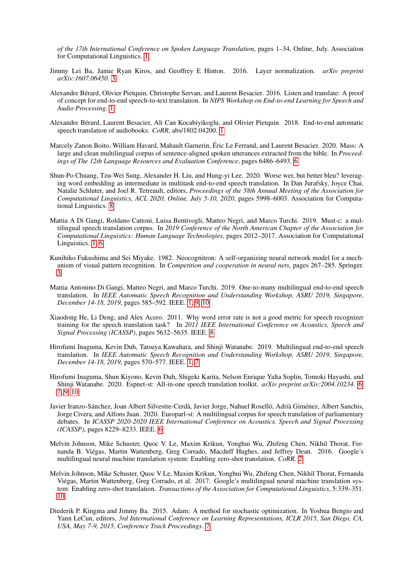*of the 17th International Conference on Spoken Language Translation*, pages 1–34, Online, July. Association for Computational Linguistics. [1](#page-0-1)

- <span id="page-10-7"></span>Jimmy Lei Ba, Jamie Ryan Kiros, and Geoffrey E Hinton. 2016. Layer normalization. *arXiv preprint arXiv:1607.06450*. [3](#page-2-6)
- <span id="page-10-0"></span>Alexandre Bérard, Olivier Pietquin, Christophe Servan, and Laurent Besacier. 2016. Listen and translate: A proof of concept for end-to-end speech-to-text translation. In *NIPS Workshop on End-to-end Learning for Speech and Audio Processing*. [1](#page-0-1)
- <span id="page-10-1"></span>Alexandre Bérard, Laurent Besacier, Ali Can Kocabiyikoglu, and Olivier Pietquin. 2018. End-to-end automatic speech translation of audiobooks. *CoRR*, abs/1802.04200. [1](#page-0-1)
- <span id="page-10-11"></span>Marcely Zanon Boito, William Havard, Mahault Garnerin, Éric Le Ferrand, and Laurent Besacier. 2020. Mass: A large and clean multilingual corpus of sentence-aligned spoken utterances extracted from the bible. In *Proceedings of The 12th Language Resources and Evaluation Conference*, pages 6486–6493. [6](#page-5-4)
- <span id="page-10-6"></span>Shun-Po Chuang, Tzu-Wei Sung, Alexander H. Liu, and Hung-yi Lee. 2020. Worse wer, but better bleu? leveraging word embedding as intermediate in multitask end-to-end speech translation. In Dan Jurafsky, Joyce Chai, Natalie Schluter, and Joel R. Tetreault, editors, *Proceedings of the 58th Annual Meeting of the Association for Computational Linguistics, ACL 2020, Online, July 5-10, 2020*, pages 5998–6003. Association for Computational Linguistics. [8](#page-7-1)
- <span id="page-10-4"></span>Mattia A Di Gangi, Roldano Cattoni, Luisa Bentivogli, Matteo Negri, and Marco Turchi. 2019. Must-c: a multilingual speech translation corpus. In *2019 Conference of the North American Chapter of the Association for Computational Linguistics: Human Language Technologies*, pages 2012–2017. Association for Computational Linguistics. [1,](#page-0-1) [6](#page-5-4)
- <span id="page-10-8"></span>Kunihiko Fukushima and Sei Miyake. 1982. Neocognitron: A self-organizing neural network model for a mechanism of visual pattern recognition. In *Competition and cooperation in neural nets*, pages 267–285. Springer. [3](#page-2-6)
- <span id="page-10-2"></span>Mattia Antonino Di Gangi, Matteo Negri, and Marco Turchi. 2019. One-to-many multilingual end-to-end speech translation. In *IEEE Automatic Speech Recognition and Understanding Workshop, ASRU 2019, Singapore, December 14-18, 2019*, pages 585–592. IEEE. [1,](#page-0-1) [9,](#page-8-2) [10](#page-9-4)
- <span id="page-10-13"></span>Xiaodong He, Li Deng, and Alex Acero. 2011. Why word error rate is not a good metric for speech recognizer training for the speech translation task? In *2011 IEEE International Conference on Acoustics, Speech and Signal Processing (ICASSP)*, pages 5632–5635. IEEE. [8](#page-7-1)
- <span id="page-10-3"></span>Hirofumi Inaguma, Kevin Duh, Tatsuya Kawahara, and Shinji Watanabe. 2019. Multilingual end-to-end speech translation. In *IEEE Automatic Speech Recognition and Understanding Workshop, ASRU 2019, Singapore, December 14-18, 2019*, pages 570–577. IEEE. [1,](#page-0-1) [7](#page-6-3)
- <span id="page-10-9"></span>Hirofumi Inaguma, Shun Kiyono, Kevin Duh, Shigeki Karita, Nelson Enrique Yalta Soplin, Tomoki Hayashi, and Shinji Watanabe. 2020. Espnet-st: All-in-one speech translation toolkit. *arXiv preprint arXiv:2004.10234*. [6,](#page-5-4) [7,](#page-6-3) [9,](#page-8-2) [10](#page-9-4)
- <span id="page-10-10"></span>Javier Iranzo-Sánchez, Joan Albert Silvestre-Cerdà, Javier Jorge, Nahuel Roselló, Adrià Giménez, Albert Sanchis, Jorge Civera, and Alfons Juan. 2020. Europarl-st: A multilingual corpus for speech translation of parliamentary debates. In *ICASSP 2020-2020 IEEE International Conference on Acoustics, Speech and Signal Processing (ICASSP)*, pages 8229–8233. IEEE. [6](#page-5-4)
- <span id="page-10-5"></span>Melvin Johnson, Mike Schuster, Quoc V. Le, Maxim Krikun, Yonghui Wu, Zhifeng Chen, Nikhil Thorat, Fernanda B. Viégas, Martin Wattenberg, Greg Corrado, Macduff Hughes, and Jeffrey Dean. 2016. Google's multilingual neural machine translation system: Enabling zero-shot translation. *CoRR*. [2](#page-1-0)
- <span id="page-10-14"></span>Melvin Johnson, Mike Schuster, Quoc V Le, Maxim Krikun, Yonghui Wu, Zhifeng Chen, Nikhil Thorat, Fernanda Viégas, Martin Wattenberg, Greg Corrado, et al. 2017. Google's multilingual neural machine translation system: Enabling zero-shot translation. *Transactions of the Association for Computational Linguistics*, 5:339–351. [10](#page-9-4)
- <span id="page-10-12"></span>Diederik P. Kingma and Jimmy Ba. 2015. Adam: A method for stochastic optimization. In Yoshua Bengio and Yann LeCun, editors, *3rd International Conference on Learning Representations, ICLR 2015, San Diego, CA, USA, May 7-9, 2015, Conference Track Proceedings*. [7](#page-6-3)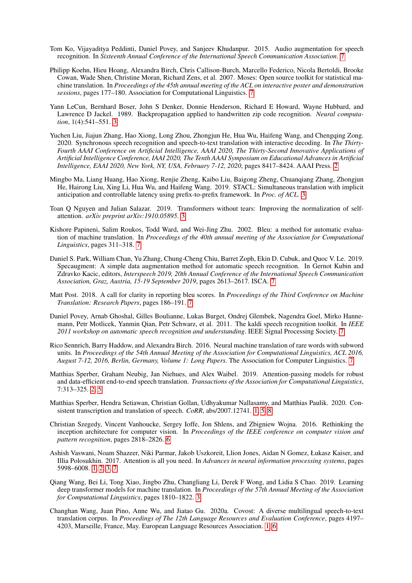- <span id="page-11-13"></span>Tom Ko, Vijayaditya Peddinti, Daniel Povey, and Sanjeev Khudanpur. 2015. Audio augmentation for speech recognition. In *Sixteenth Annual Conference of the International Speech Communication Association*. [7](#page-6-3)
- <span id="page-11-10"></span>Philipp Koehn, Hieu Hoang, Alexandra Birch, Chris Callison-Burch, Marcello Federico, Nicola Bertoldi, Brooke Cowan, Wade Shen, Christine Moran, Richard Zens, et al. 2007. Moses: Open source toolkit for statistical machine translation. In *Proceedings of the 45th annual meeting of the ACL on interactive poster and demonstration sessions*, pages 177–180. Association for Computational Linguistics. [7](#page-6-3)
- <span id="page-11-6"></span>Yann LeCun, Bernhard Boser, John S Denker, Donnie Henderson, Richard E Howard, Wayne Hubbard, and Lawrence D Jackel. 1989. Backpropagation applied to handwritten zip code recognition. *Neural computation*, 1(4):541–551. [3](#page-2-6)
- <span id="page-11-3"></span>Yuchen Liu, Jiajun Zhang, Hao Xiong, Long Zhou, Zhongjun He, Hua Wu, Haifeng Wang, and Chengqing Zong. 2020. Synchronous speech recognition and speech-to-text translation with interactive decoding. In *The Thirty-Fourth AAAI Conference on Artificial Intelligence, AAAI 2020, The Thirty-Second Innovative Applications of Artificial Intelligence Conference, IAAI 2020, The Tenth AAAI Symposium on Educational Advances in Artificial Intelligence, EAAI 2020, New York, NY, USA, February 7-12, 2020*, pages 8417–8424. AAAI Press. [2](#page-1-0)
- <span id="page-11-5"></span>Mingbo Ma, Liang Huang, Hao Xiong, Renjie Zheng, Kaibo Liu, Baigong Zheng, Chuanqiang Zhang, Zhongjun He, Hairong Liu, Xing Li, Hua Wu, and Haifeng Wang. 2019. STACL: Simultaneous translation with implicit anticipation and controllable latency using prefix-to-prefix framework. In *Proc. of ACL*. [3](#page-2-6)
- <span id="page-11-8"></span>Toan Q Nguyen and Julian Salazar. 2019. Transformers without tears: Improving the normalization of selfattention. *arXiv preprint arXiv:1910.05895*. [3](#page-2-6)
- <span id="page-11-15"></span>Kishore Papineni, Salim Roukos, Todd Ward, and Wei-Jing Zhu. 2002. Bleu: a method for automatic evaluation of machine translation. In *Proceedings of the 40th annual meeting of the Association for Computational Linguistics*, pages 311–318. [7](#page-6-3)
- <span id="page-11-14"></span>Daniel S. Park, William Chan, Yu Zhang, Chung-Cheng Chiu, Barret Zoph, Ekin D. Cubuk, and Quoc V. Le. 2019. Specaugment: A simple data augmentation method for automatic speech recognition. In Gernot Kubin and Zdravko Kacic, editors, *Interspeech 2019, 20th Annual Conference of the International Speech Communication Association, Graz, Austria, 15-19 September 2019*, pages 2613–2617. ISCA. [7](#page-6-3)
- <span id="page-11-16"></span>Matt Post. 2018. A call for clarity in reporting bleu scores. In *Proceedings of the Third Conference on Machine Translation: Research Papers*, pages 186–191. [7](#page-6-3)
- <span id="page-11-12"></span>Daniel Povey, Arnab Ghoshal, Gilles Boulianne, Lukas Burget, Ondrej Glembek, Nagendra Goel, Mirko Hannemann, Petr Motlicek, Yanmin Qian, Petr Schwarz, et al. 2011. The kaldi speech recognition toolkit. In *IEEE 2011 workshop on automatic speech recognition and understanding*. IEEE Signal Processing Society. [7](#page-6-3)
- <span id="page-11-11"></span>Rico Sennrich, Barry Haddow, and Alexandra Birch. 2016. Neural machine translation of rare words with subword units. In *Proceedings of the 54th Annual Meeting of the Association for Computational Linguistics, ACL 2016, August 7-12, 2016, Berlin, Germany, Volume 1: Long Papers*. The Association for Computer Linguistics. [7](#page-6-3)
- <span id="page-11-4"></span>Matthias Sperber, Graham Neubig, Jan Niehues, and Alex Waibel. 2019. Attention-passing models for robust and data-efficient end-to-end speech translation. *Transactions of the Association for Computational Linguistics*, 7:313–325. [2,](#page-1-0) [5](#page-4-4)
- <span id="page-11-2"></span>Matthias Sperber, Hendra Setiawan, Christian Gollan, Udhyakumar Nallasamy, and Matthias Paulik. 2020. Consistent transcription and translation of speech. *CoRR*, abs/2007.12741. [1,](#page-0-1) [5,](#page-4-4) [8](#page-7-1)
- <span id="page-11-9"></span>Christian Szegedy, Vincent Vanhoucke, Sergey Ioffe, Jon Shlens, and Zbigniew Wojna. 2016. Rethinking the inception architecture for computer vision. In *Proceedings of the IEEE conference on computer vision and pattern recognition*, pages 2818–2826. [6](#page-5-4)
- <span id="page-11-0"></span>Ashish Vaswani, Noam Shazeer, Niki Parmar, Jakob Uszkoreit, Llion Jones, Aidan N Gomez, Łukasz Kaiser, and Illia Polosukhin. 2017. Attention is all you need. In *Advances in neural information processing systems*, pages 5998–6008. [1,](#page-0-1) [2,](#page-1-0) [3,](#page-2-6) [7](#page-6-3)
- <span id="page-11-7"></span>Qiang Wang, Bei Li, Tong Xiao, Jingbo Zhu, Changliang Li, Derek F Wong, and Lidia S Chao. 2019. Learning deep transformer models for machine translation. In *Proceedings of the 57th Annual Meeting of the Association for Computational Linguistics*, pages 1810–1822. [3](#page-2-6)
- <span id="page-11-1"></span>Changhan Wang, Juan Pino, Anne Wu, and Jiatao Gu. 2020a. Covost: A diverse multilingual speech-to-text translation corpus. In *Proceedings of The 12th Language Resources and Evaluation Conference*, pages 4197– 4203, Marseille, France, May. European Language Resources Association. [1,](#page-0-1) [6](#page-5-4)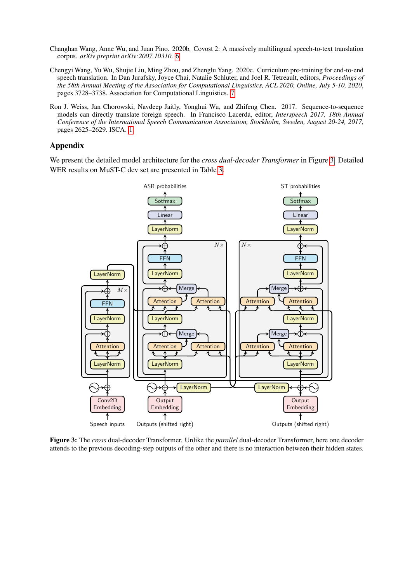- <span id="page-12-1"></span>Changhan Wang, Anne Wu, and Juan Pino. 2020b. Covost 2: A massively multilingual speech-to-text translation corpus. *arXiv preprint arXiv:2007.10310*. [6](#page-5-4)
- <span id="page-12-2"></span>Chengyi Wang, Yu Wu, Shujie Liu, Ming Zhou, and Zhenglu Yang. 2020c. Curriculum pre-training for end-to-end speech translation. In Dan Jurafsky, Joyce Chai, Natalie Schluter, and Joel R. Tetreault, editors, *Proceedings of the 58th Annual Meeting of the Association for Computational Linguistics, ACL 2020, Online, July 5-10, 2020*, pages 3728–3738. Association for Computational Linguistics. [7](#page-6-3)
- <span id="page-12-0"></span>Ron J. Weiss, Jan Chorowski, Navdeep Jaitly, Yonghui Wu, and Zhifeng Chen. 2017. Sequence-to-sequence models can directly translate foreign speech. In Francisco Lacerda, editor, *Interspeech 2017, 18th Annual Conference of the International Speech Communication Association, Stockholm, Sweden, August 20-24, 2017*, pages 2625–2629. ISCA. [1](#page-0-1)

## Appendix

<span id="page-12-3"></span>We present the detailed model architecture for the *cross dual-decoder Transformer* in Figure [3.](#page-12-3) Detailed WER results on MuST-C dev set are presented in Table [3.](#page-13-0)



Figure 3: The *cross* dual-decoder Transformer. Unlike the *parallel* dual-decoder Transformer, here one decoder attends to the previous decoding-step outputs of the other and there is no interaction between their hidden states.